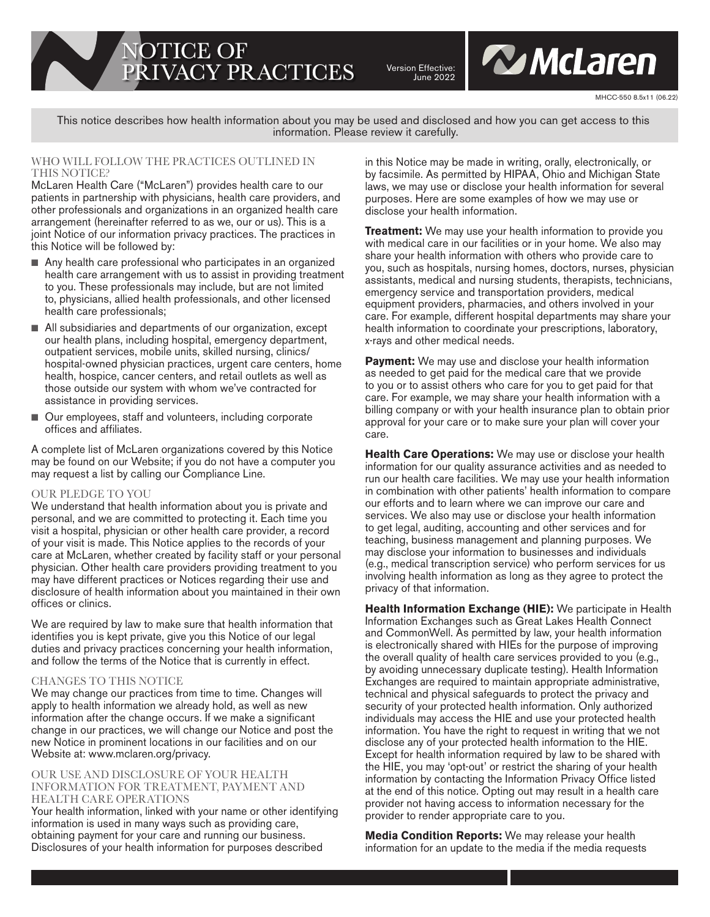NOTICE OF PRIVACY PRACTICES

Version Effective: June 2022 **W** McLaren

This notice describes how health information about you may be used and disclosed and how you can get access to this information. Please review it carefully.

### WHO WILL FOLLOW THE PRACTICES OUTLINED IN THIS NOTICE?

McLaren Health Care ("McLaren") provides health care to our patients in partnership with physicians, health care providers, and other professionals and organizations in an organized health care arrangement (hereinafter referred to as we, our or us). This is a joint Notice of our information privacy practices. The practices in this Notice will be followed by:

- $\blacksquare$  Any health care professional who participates in an organized health care arrangement with us to assist in providing treatment to you. These professionals may include, but are not limited to, physicians, allied health professionals, and other licensed health care professionals;
- All subsidiaries and departments of our organization, except our health plans, including hospital, emergency department, outpatient services, mobile units, skilled nursing, clinics/ hospital-owned physician practices, urgent care centers, home health, hospice, cancer centers, and retail outlets as well as those outside our system with whom we've contracted for assistance in providing services.
- Our employees, staff and volunteers, including corporate offices and affiliates.

A complete list of McLaren organizations covered by this Notice may be found on our Website; if you do not have a computer you may request a list by calling our Compliance Line.

## OUR PLEDGE TO YOU

We understand that health information about you is private and personal, and we are committed to protecting it. Each time you visit a hospital, physician or other health care provider, a record of your visit is made. This Notice applies to the records of your care at McLaren, whether created by facility staff or your personal physician. Other health care providers providing treatment to you may have different practices or Notices regarding their use and disclosure of health information about you maintained in their own offices or clinics.

We are required by law to make sure that health information that identifies you is kept private, give you this Notice of our legal duties and privacy practices concerning your health information, and follow the terms of the Notice that is currently in effect.

## CHANGES TO THIS NOTICE

We may change our practices from time to time. Changes will apply to health information we already hold, as well as new information after the change occurs. If we make a significant change in our practices, we will change our Notice and post the new Notice in prominent locations in our facilities and on our Website at: www.mclaren.org/privacy.

### OUR USE AND DISCLOSURE OF YOUR HEALTH INFORMATION FOR TREATMENT, PAYMENT AND HEALTH CARE OPERATIONS

Your health information, linked with your name or other identifying information is used in many ways such as providing care, obtaining payment for your care and running our business. Disclosures of your health information for purposes described

in this Notice may be made in writing, orally, electronically, or by facsimile. As permitted by HIPAA, Ohio and Michigan State laws, we may use or disclose your health information for several purposes. Here are some examples of how we may use or disclose your health information.

**Treatment:** We may use your health information to provide you with medical care in our facilities or in your home. We also may share your health information with others who provide care to you, such as hospitals, nursing homes, doctors, nurses, physician assistants, medical and nursing students, therapists, technicians, emergency service and transportation providers, medical equipment providers, pharmacies, and others involved in your care. For example, different hospital departments may share your health information to coordinate your prescriptions, laboratory, x-rays and other medical needs.

**Payment:** We may use and disclose your health information as needed to get paid for the medical care that we provide to you or to assist others who care for you to get paid for that care. For example, we may share your health information with a billing company or with your health insurance plan to obtain prior approval for your care or to make sure your plan will cover your care.

**Health Care Operations:** We may use or disclose your health information for our quality assurance activities and as needed to run our health care facilities. We may use your health information in combination with other patients' health information to compare our efforts and to learn where we can improve our care and services. We also may use or disclose your health information to get legal, auditing, accounting and other services and for teaching, business management and planning purposes. We may disclose your information to businesses and individuals (e.g., medical transcription service) who perform services for us involving health information as long as they agree to protect the privacy of that information.

**Health Information Exchange (HIE):** We participate in Health Information Exchanges such as Great Lakes Health Connect and CommonWell. As permitted by law, your health information is electronically shared with HIEs for the purpose of improving the overall quality of health care services provided to you (e.g., by avoiding unnecessary duplicate testing). Health Information Exchanges are required to maintain appropriate administrative, technical and physical safeguards to protect the privacy and security of your protected health information. Only authorized individuals may access the HIE and use your protected health information. You have the right to request in writing that we not disclose any of your protected health information to the HIE. Except for health information required by law to be shared with the HIE, you may 'opt-out' or restrict the sharing of your health information by contacting the Information Privacy Office listed at the end of this notice. Opting out may result in a health care provider not having access to information necessary for the provider to render appropriate care to you.

**Media Condition Reports:** We may release your health information for an update to the media if the media requests